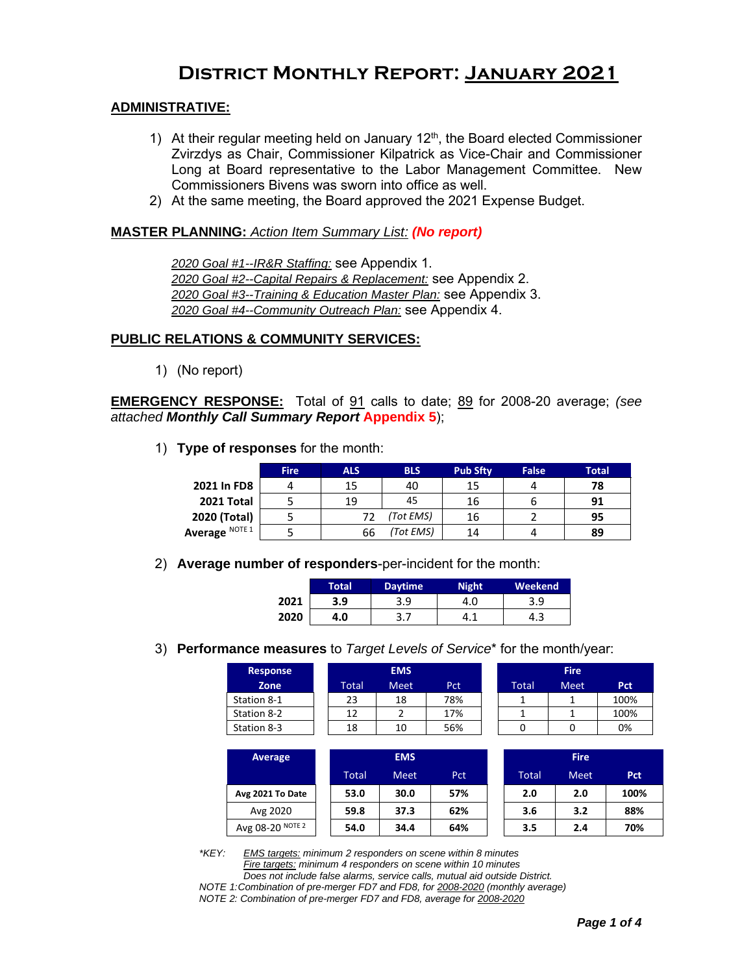# **District Monthly Report: January 2021**

#### **ADMINISTRATIVE:**

- 1) At their regular meeting held on January  $12<sup>th</sup>$ , the Board elected Commissioner Zvirzdys as Chair, Commissioner Kilpatrick as Vice-Chair and Commissioner Long at Board representative to the Labor Management Committee. New Commissioners Bivens was sworn into office as well.
- 2) At the same meeting, the Board approved the 2021 Expense Budget.

#### **MASTER PLANNING:** *Action Item Summary List: (No report)*

*2020 Goal #1--IR&R Staffing:* see Appendix 1. *2020 Goal #2--Capital Repairs & Replacement:* see Appendix 2. *2020 Goal #3--Training & Education Master Plan:* see Appendix 3. *2020 Goal #4--Community Outreach Plan:* see Appendix 4.

#### **PUBLIC RELATIONS & COMMUNITY SERVICES:**

1) (No report)

**EMERGENCY RESPONSE:** Total of 91 calls to date; 89 for 2008-20 average; *(see attached Monthly Call Summary Report* **Appendix 5**);

1) **Type of responses** for the month:

|                | <b>Fire</b> | <b>ALS</b> | <b>BLS</b> | <b>Pub Sftv</b> | <b>False</b> | <b>Total</b> |
|----------------|-------------|------------|------------|-----------------|--------------|--------------|
| 2021 In FD8    |             | 15         | 40         | 15              |              | 78           |
| 2021 Total     |             | 19         | 45         | 16              | ь            | 91           |
| 2020 (Total)   |             | 77         | (Tot EMS)  | 16              |              | 95           |
| Average NOTE 1 |             | 66         | (Tot EMS)  | 14              | 4            | 89           |

2) **Average number of responders**-per-incident for the month:

|      | Total' | <b>Daytime</b> | Night | Weekend |  |  |
|------|--------|----------------|-------|---------|--|--|
| 2021 | 3.9    | 3.9            | 4.0   | 3.9     |  |  |
| 2020 | 4.0    | ر . د          | 0. L  | 4.3     |  |  |

3) **Performance measures** to *Target Levels of Service*\* for the month/year:

| <b>Response</b> |       | <b>EMS</b>  |     | <b>Fire</b> |             |      |  |
|-----------------|-------|-------------|-----|-------------|-------------|------|--|
| Zone            | Total | <b>Meet</b> | Pct | Total       | <b>Meet</b> | Pct  |  |
| Station 8-1     | 23    | 18          | 78% |             |             | 100% |  |
| Station 8-2     | 12    |             | 17% |             |             | 100% |  |
| Station 8-3     | 18    | 10          | 56% |             |             | 0%   |  |

|       | <b>Fire</b> |      |
|-------|-------------|------|
| Total | Meet        | Pct  |
|       |             | 100% |
|       |             | 100% |
|       |             | በ%   |

| Average          | <b>EMS</b> |             |            |  | <b>Fire</b> |             |            |  |  |
|------------------|------------|-------------|------------|--|-------------|-------------|------------|--|--|
|                  | Total      | <b>Meet</b> | <b>Pct</b> |  | Total       | <b>Meet</b> | <b>Pct</b> |  |  |
| Avg 2021 To Date | 53.0       | 30.0        | 57%        |  | 2.0         | 2.0         | 100%       |  |  |
| Avg 2020         | 59.8       | 37.3        | 62%        |  | 3.6         | 3.2         | 88%        |  |  |
| Avg 08-20 NOTE 2 | 54.0       | 34.4        | 64%        |  | 3.5         | 2.4         | 70%        |  |  |

*\*KEY: EMS targets: minimum 2 responders on scene within 8 minutes Fire targets: minimum 4 responders on scene within 10 minutes Does not include false alarms, service calls, mutual aid outside District. NOTE 1:Combination of pre-merger FD7 and FD8, for 2008-2020 (monthly average)*

*NOTE 2: Combination of pre-merger FD7 and FD8, average for 2008-2020*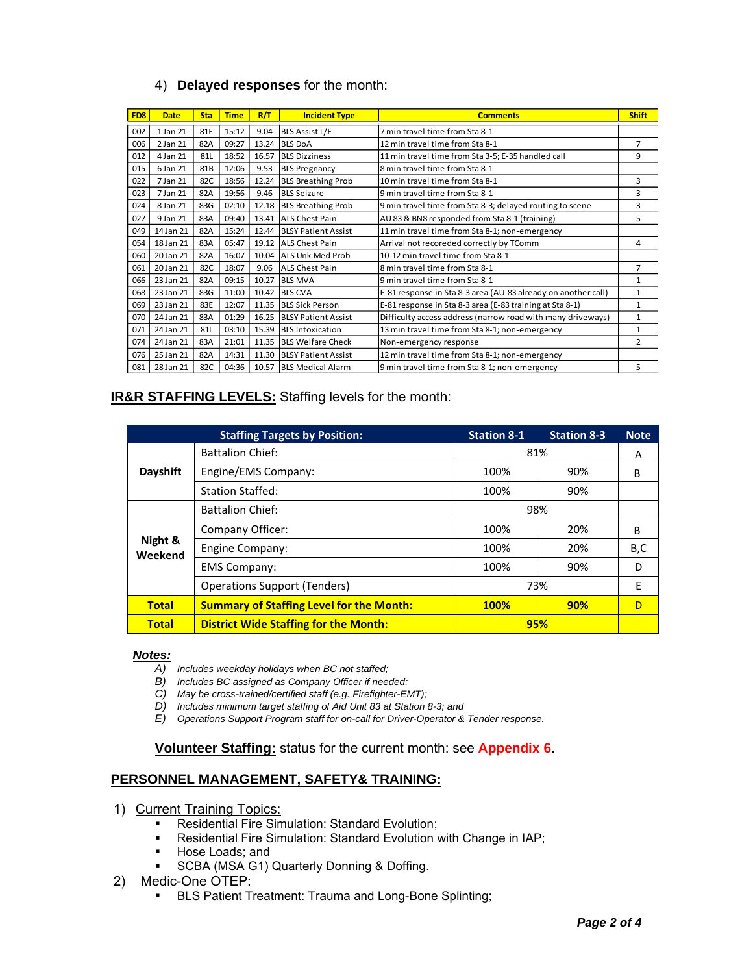|                 | 4)          |                 |             |       | <b>Delayed responses for the month:</b> |                                                               |                |
|-----------------|-------------|-----------------|-------------|-------|-----------------------------------------|---------------------------------------------------------------|----------------|
| FD <sub>8</sub> | <b>Date</b> | <b>Sta</b>      | <b>Time</b> | R/T   | <b>Incident Type</b>                    | <b>Comments</b>                                               | <b>Shift</b>   |
| 002             | 1 Jan 21    | 81E             | 15:12       | 9.04  | <b>BLS Assist L/E</b>                   | 7 min travel time from Sta 8-1                                |                |
| 006             | 2 Jan 21    | 82A             | 09:27       | 13.24 | <b>BLS DoA</b>                          | 12 min travel time from Sta 8-1                               | $\overline{7}$ |
| 012             | 4 Jan 21    | 81L             | 18:52       | 16.57 | <b>BLS Dizziness</b>                    | 11 min travel time from Sta 3-5; E-35 handled call            | 9              |
| 015             | 6 Jan 21    | 81 <sub>B</sub> | 12:06       | 9.53  | <b>BLS Pregnancy</b>                    | 8 min travel time from Sta 8-1                                |                |
| 022             | 7 Jan 21    | 82C             | 18:56       | 12.24 | <b>BLS Breathing Prob</b>               | 10 min travel time from Sta 8-1                               | 3              |
| 023             | 7 Jan 21    | 82A             | 19:56       | 9.46  | <b>BLS Seizure</b>                      | 9 min travel time from Sta 8-1                                | 3              |
| 024             | 8 Jan 21    | 83G             | 02:10       | 12.18 | <b>BLS Breathing Prob</b>               | 9 min travel time from Sta 8-3; delayed routing to scene      | 3              |
| 027             | 9 Jan 21    | 83A             | 09:40       |       | 13.41 ALS Chest Pain                    | AU 83 & BN8 responded from Sta 8-1 (training)                 | 5              |
| 049             | 14 Jan 21   | 82A             | 15:24       |       | 12.44 BLSY Patient Assist               | 11 min travel time from Sta 8-1; non-emergency                |                |
| 054             | 18 Jan 21   | 83A             | 05:47       | 19.12 | <b>ALS Chest Pain</b>                   | Arrival not recoreded correctly by TComm                      | 4              |
| 060             | 20 Jan 21   | 82A             | 16:07       |       | 10.04 ALLS Unk Med Prob                 | 10-12 min travel time from Sta 8-1                            |                |
| 061             | 20 Jan 21   | 82C             | 18:07       | 9.06  | <b>ALS Chest Pain</b>                   | 8 min travel time from Sta 8-1                                | $\overline{7}$ |
| 066             | 23 Jan 21   | 82A             | 09:15       | 10.27 | <b>BLS MVA</b>                          | 9 min travel time from Sta 8-1                                | 1              |
| 068             | 23 Jan 21   | 83G             | 11:00       |       | 10.42 BLS CVA                           | E-81 response in Sta 8-3 area (AU-83 already on another call) | $\mathbf{1}$   |
| 069             | 23 Jan 21   | 83E             | 12:07       | 11.35 | <b>BLS Sick Person</b>                  | E-81 response in Sta 8-3 area (E-83 training at Sta 8-1)      | $\mathbf{1}$   |
| 070             | 24 Jan 21   | 83A             | 01:29       | 16.25 | <b>BLSY Patient Assist</b>              | Difficulty access address (narrow road with many driveways)   | $\mathbf{1}$   |
| 071             | 24 Jan 21   | 81L             | 03:10       | 15.39 | <b>BLS</b> Intoxication                 | 13 min travel time from Sta 8-1; non-emergency                | $\mathbf{1}$   |
| 074             | 24 Jan 21   | 83A             | 21:01       | 11.35 | <b>BLS Welfare Check</b>                | Non-emergency response                                        | $\overline{2}$ |
| 076             | 25 Jan 21   | 82A             | 14:31       | 11.30 | <b>BLSY Patient Assist</b>              | 12 min travel time from Sta 8-1; non-emergency                |                |
| 081             | 28 Jan 21   | 82C             | 04:36       | 10.57 | <b>BLS Medical Alarm</b>                | 9 min travel time from Sta 8-1; non-emergency                 | 5              |

#### **IR&R STAFFING LEVELS:** Staffing levels for the month:

|                    | <b>Staffing Targets by Position:</b>            | <b>Station 8-1</b> | <b>Station 8-3</b> | <b>Note</b> |
|--------------------|-------------------------------------------------|--------------------|--------------------|-------------|
|                    | <b>Battalion Chief:</b>                         | 81%                | A                  |             |
| Dayshift           | Engine/EMS Company:                             | 100%               | 90%                | B           |
|                    | <b>Station Staffed:</b>                         | 100%               | 90%                |             |
|                    | <b>Battalion Chief:</b>                         | 98%                |                    |             |
|                    | Company Officer:                                | 100%               | 20%                | B           |
| Night &<br>Weekend | Engine Company:                                 | 100%               | B,C                |             |
|                    | <b>EMS Company:</b>                             | 100%               | 90%                | D           |
|                    | <b>Operations Support (Tenders)</b>             | 73%                | Ε                  |             |
| <b>Total</b>       | <b>Summary of Staffing Level for the Month:</b> | <b>100%</b>        | 90%                | D           |
| <b>Total</b>       | <b>District Wide Staffing for the Month:</b>    | 95%                |                    |             |

#### *Notes:*

- *A) Includes weekday holidays when BC not staffed;*
- *B) Includes BC assigned as Company Officer if needed;*
- *C) May be cross-trained/certified staff (e.g. Firefighter-EMT);*
- *D) Includes minimum target staffing of Aid Unit 83 at Station 8-3; and*
- *E) Operations Support Program staff for on-call for Driver-Operator & Tender response.*

**Volunteer Staffing:** status for the current month: see **Appendix 6**.

#### **PERSONNEL MANAGEMENT, SAFETY& TRAINING:**

- 1) Current Training Topics:
	- Residential Fire Simulation: Standard Evolution;
	- Residential Fire Simulation: Standard Evolution with Change in IAP;<br>■ Hose Loads: and
	- Hose Loads; and
	- SCBA (MSA G1) Quarterly Donning & Doffing.
- 2) Medic-One OTEP:
	- **EXECT:** BLS Patient Treatment: Trauma and Long-Bone Splinting;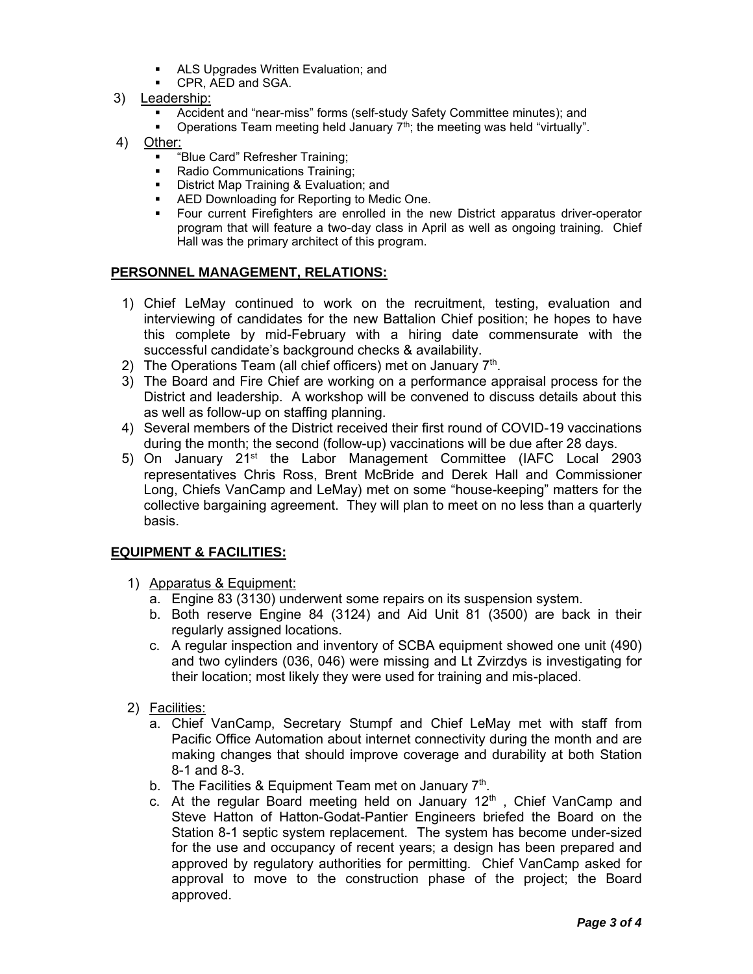- ALS Upgrades Written Evaluation; and
- **CPR, AED and SGA.**
- 3) Leadership:
	- Accident and "near-miss" forms (self-study Safety Committee minutes); and
	- Operations Team meeting held January 7<sup>th</sup>; the meeting was held "virtually".
- 4) Other:
	- "Blue Card" Refresher Training;
	- Radio Communications Training:
	- **District Map Training & Evaluation; and**
	- AED Downloading for Reporting to Medic One.<br>■ Four current Firefighters are enrolled in the n
	- Four current Firefighters are enrolled in the new District apparatus driver-operator program that will feature a two-day class in April as well as ongoing training. Chief Hall was the primary architect of this program.

#### **PERSONNEL MANAGEMENT, RELATIONS:**

- 1) Chief LeMay continued to work on the recruitment, testing, evaluation and interviewing of candidates for the new Battalion Chief position; he hopes to have this complete by mid-February with a hiring date commensurate with the successful candidate's background checks & availability.
- 2) The Operations Team (all chief officers) met on January 7<sup>th</sup>.
- 3) The Board and Fire Chief are working on a performance appraisal process for the District and leadership. A workshop will be convened to discuss details about this as well as follow-up on staffing planning.
- 4) Several members of the District received their first round of COVID-19 vaccinations during the month; the second (follow-up) vaccinations will be due after 28 days.
- 5) On January  $21^{st}$  the Labor Management Committee (IAFC Local 2903 representatives Chris Ross, Brent McBride and Derek Hall and Commissioner Long, Chiefs VanCamp and LeMay) met on some "house-keeping" matters for the collective bargaining agreement. They will plan to meet on no less than a quarterly basis.

#### **EQUIPMENT & FACILITIES:**

- 1) Apparatus & Equipment:
	- a. Engine 83 (3130) underwent some repairs on its suspension system.
	- b. Both reserve Engine 84 (3124) and Aid Unit 81 (3500) are back in their regularly assigned locations.
	- c. A regular inspection and inventory of SCBA equipment showed one unit (490) and two cylinders (036, 046) were missing and Lt Zvirzdys is investigating for their location; most likely they were used for training and mis-placed.
- 2) Facilities:
	- a. Chief VanCamp, Secretary Stumpf and Chief LeMay met with staff from Pacific Office Automation about internet connectivity during the month and are making changes that should improve coverage and durability at both Station 8-1 and 8-3.
	- b. The Facilities & Equipment Team met on January  $7^{\text{th}}$ .
	- c. At the regular Board meeting held on January 12<sup>th</sup>, Chief VanCamp and Steve Hatton of Hatton-Godat-Pantier Engineers briefed the Board on the Station 8-1 septic system replacement. The system has become under-sized for the use and occupancy of recent years; a design has been prepared and approved by regulatory authorities for permitting. Chief VanCamp asked for approval to move to the construction phase of the project; the Board approved.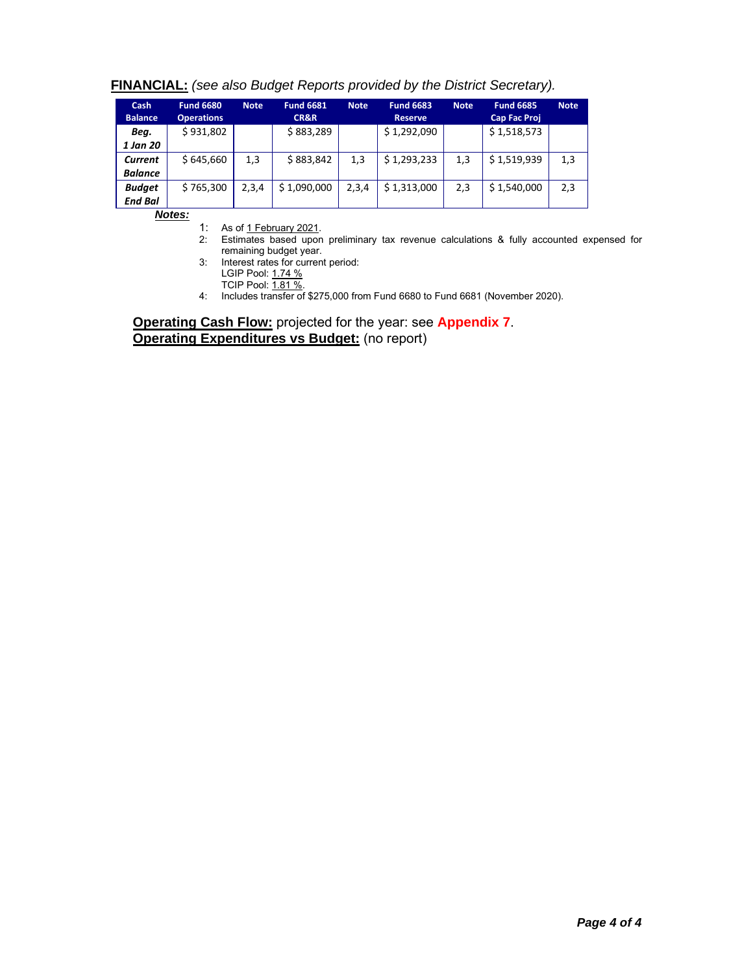| <b>Cash</b><br><b>Balance</b> | <b>Fund 6680</b><br><b>Operations</b> | <b>Note</b> | <b>Fund 6681</b><br><b>CR&amp;R</b> | <b>Note</b> | <b>Fund 6683</b><br><b>Reserve</b> | <b>Note</b> | <b>Fund 6685</b><br><b>Cap Fac Proj</b> | <b>Note</b> |  |
|-------------------------------|---------------------------------------|-------------|-------------------------------------|-------------|------------------------------------|-------------|-----------------------------------------|-------------|--|
| Beg.                          | \$931,802                             |             | \$883,289                           |             | \$1,292,090                        |             | \$1,518,573                             |             |  |
| 1 Jan 20                      |                                       |             |                                     |             |                                    |             |                                         |             |  |
| Current                       | \$645,660                             | 1,3         | \$883,842                           | 1,3         | \$1,293,233                        | 1,3         | \$1,519,939                             | 1,3         |  |
| <b>Balance</b>                |                                       |             |                                     |             |                                    |             |                                         |             |  |
| <b>Budget</b>                 | \$765,300                             | 2,3,4       | \$1,090,000                         | 2,3,4       | \$1,313,000                        | 2,3         | \$1,540,000                             | 2,3         |  |
| <b>End Bal</b>                |                                       |             |                                     |             |                                    |             |                                         |             |  |

#### **FINANCIAL:** *(see also Budget Reports provided by the District Secretary).*

*Notes:*

1: As of 1 February 2021.

- 2: Estimates based upon preliminary tax revenue calculations & fully accounted expensed for remaining budget year.
- 3: Interest rates for current period:

LGIP Pool: <u>1.74 %</u>

TCIP Pool: <u>1.81 %</u>.

4: Includes transfer of \$275,000 from Fund 6680 to Fund 6681 (November 2020).

**Operating Cash Flow:** projected for the year: see **Appendix 7**. **Operating Expenditures vs Budget:** (no report)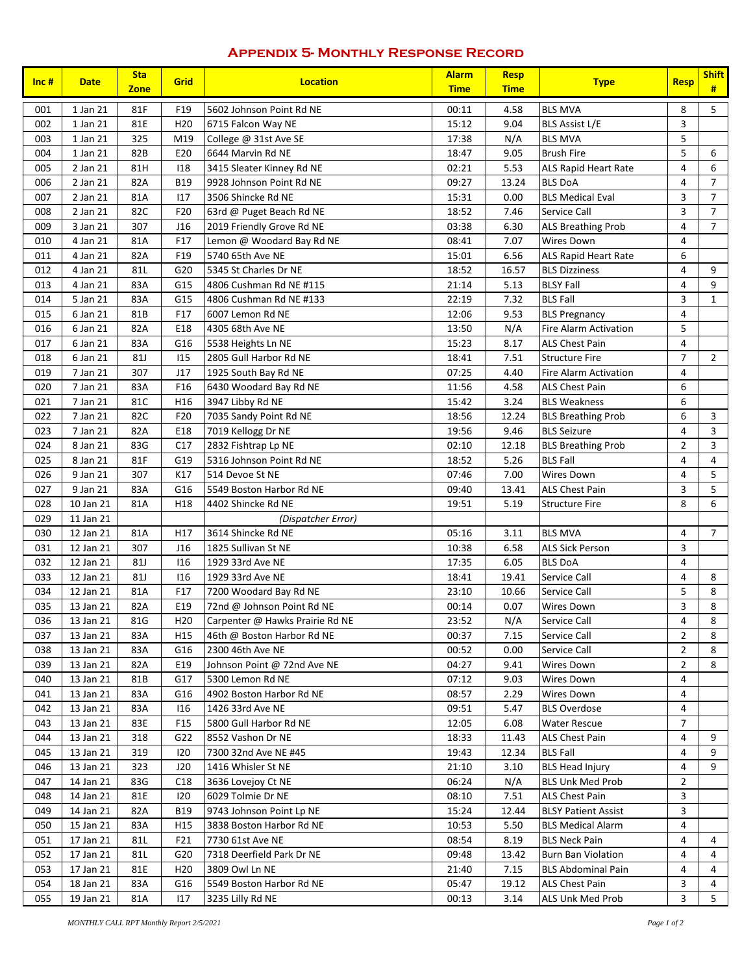### **Appendix 5- Monthly Response Record**

| Inc $#$    | <b>Date</b>            | <b>Sta</b><br><b>Zone</b> | Grid                   | <b>Location</b>                                      | <b>Alarm</b><br><b>Time</b> | <b>Resp</b><br><b>Time</b> | <b>Type</b>                                        | <b>Resp</b>    | <b>Shift</b><br># |
|------------|------------------------|---------------------------|------------------------|------------------------------------------------------|-----------------------------|----------------------------|----------------------------------------------------|----------------|-------------------|
| 001        | 1 Jan 21               | 81F                       | F19                    | 5602 Johnson Point Rd NE                             | 00:11                       | 4.58                       | <b>BLS MVA</b>                                     | 8              | 5                 |
| 002        | 1 Jan 21               | 81E                       | H <sub>20</sub>        | 6715 Falcon Way NE                                   | 15:12                       | 9.04                       | <b>BLS Assist L/E</b>                              | 3              |                   |
| 003        | 1 Jan 21               | 325                       | M19                    | College @ 31st Ave SE                                | 17:38                       | N/A                        | <b>BLS MVA</b>                                     | 5              |                   |
| 004        | 1 Jan 21               | 82B                       | E20                    | 6644 Marvin Rd NE                                    | 18:47                       | 9.05                       | <b>Brush Fire</b>                                  | 5              | 6                 |
| 005        | 2 Jan 21               | 81H                       | 118                    | 3415 Sleater Kinney Rd NE                            | 02:21                       | 5.53                       | ALS Rapid Heart Rate                               | 4              | 6                 |
| 006        | 2 Jan 21               | 82A                       | <b>B19</b>             | 9928 Johnson Point Rd NE                             | 09:27                       | 13.24                      | <b>BLS DoA</b>                                     | 4              | $\overline{7}$    |
| 007        | 2 Jan 21               | 81A                       | 117                    | 3506 Shincke Rd NE                                   | 15:31                       | 0.00                       | <b>BLS Medical Eval</b>                            | 3              | $\overline{7}$    |
| 008        | 2 Jan 21               | 82C                       | F <sub>20</sub>        | 63rd @ Puget Beach Rd NE                             | 18:52                       | 7.46                       | Service Call                                       | 3              | $\overline{7}$    |
| 009        | 3 Jan 21               | 307                       | J16                    | 2019 Friendly Grove Rd NE                            | 03:38                       | 6.30                       | <b>ALS Breathing Prob</b>                          | 4              | $\overline{7}$    |
| 010        | 4 Jan 21               | 81A                       | F17                    | Lemon @ Woodard Bay Rd NE                            | 08:41                       | 7.07                       | <b>Wires Down</b>                                  | 4              |                   |
| 011        | 4 Jan 21               | 82A                       | F19                    | 5740 65th Ave NE                                     | 15:01                       | 6.56                       | ALS Rapid Heart Rate                               | 6              |                   |
| 012        | 4 Jan 21               | 81L                       | G20                    | 5345 St Charles Dr NE                                | 18:52                       | 16.57                      | <b>BLS Dizziness</b>                               | 4              | 9                 |
| 013        | 4 Jan 21               | 83A                       | G15                    | 4806 Cushman Rd NE #115                              | 21:14                       | 5.13                       | <b>BLSY Fall</b>                                   | 4              | 9                 |
| 014        | 5 Jan 21               | 83A                       | G15                    | 4806 Cushman Rd NE #133                              | 22:19                       | 7.32                       | <b>BLS Fall</b>                                    | 3              | $\mathbf{1}$      |
| 015        | 6 Jan 21               | 81B                       | F17                    | 6007 Lemon Rd NE                                     | 12:06                       | 9.53                       | <b>BLS Pregnancy</b>                               | 4              |                   |
| 016        | 6 Jan 21               | 82A                       | E18                    | 4305 68th Ave NE                                     | 13:50                       | N/A                        | <b>Fire Alarm Activation</b>                       | 5              |                   |
| 017        | 6 Jan 21               | 83A                       | G16                    | 5538 Heights Ln NE                                   | 15:23                       | 8.17                       | <b>ALS Chest Pain</b>                              | $\overline{4}$ |                   |
| 018        | 6 Jan 21               | 81J                       | 115                    | 2805 Gull Harbor Rd NE                               | 18:41                       | 7.51                       | <b>Structure Fire</b>                              | $\overline{7}$ | $\overline{2}$    |
| 019        | 7 Jan 21               | 307                       | J17                    | 1925 South Bay Rd NE                                 | 07:25                       | 4.40                       | Fire Alarm Activation                              | 4              |                   |
| 020        | 7 Jan 21               | 83A                       | F16                    | 6430 Woodard Bay Rd NE                               | 11:56                       | 4.58                       | <b>ALS Chest Pain</b>                              | 6              |                   |
| 021        | 7 Jan 21               | 81C                       | H <sub>16</sub>        | 3947 Libby Rd NE                                     | 15:42                       | 3.24                       | <b>BLS Weakness</b>                                | 6              |                   |
| 022        | 7 Jan 21               | 82C                       | F20                    | 7035 Sandy Point Rd NE                               | 18:56                       | 12.24                      | <b>BLS Breathing Prob</b>                          | 6              | 3                 |
| 023        | 7 Jan 21               | 82A                       | E18                    | 7019 Kellogg Dr NE                                   | 19:56                       | 9.46                       | <b>BLS Seizure</b>                                 | 4              | 3                 |
| 024        | 8 Jan 21               | 83G                       | C17                    | 2832 Fishtrap Lp NE                                  | 02:10                       | 12.18                      | <b>BLS Breathing Prob</b>                          | $\overline{2}$ | 3                 |
| 025        | 8 Jan 21               | 81F                       | G19                    | 5316 Johnson Point Rd NE                             | 18:52                       | 5.26                       | <b>BLS Fall</b>                                    | 4              | 4                 |
| 026        | 9 Jan 21               | 307                       | K17                    | 514 Devoe St NE                                      | 07:46                       | 7.00                       | Wires Down                                         | 4              | 5                 |
| 027        | 9 Jan 21               | 83A                       | G16                    | 5549 Boston Harbor Rd NE                             | 09:40                       | 13.41                      | <b>ALS Chest Pain</b>                              | 3              | 5                 |
| 028        | 10 Jan 21              | 81A                       | H <sub>18</sub>        | 4402 Shincke Rd NE                                   | 19:51                       | 5.19                       | <b>Structure Fire</b>                              | 8              | 6                 |
| 029        | 11 Jan 21              |                           |                        | (Dispatcher Error)                                   |                             |                            |                                                    |                |                   |
| 030        | 12 Jan 21              | 81A                       | H17                    | 3614 Shincke Rd NE                                   | 05:16                       | 3.11                       | <b>BLS MVA</b>                                     | 4              | $\overline{7}$    |
| 031        | 12 Jan 21              | 307                       | J16                    | 1825 Sullivan St NE                                  | 10:38                       | 6.58                       | <b>ALS Sick Person</b>                             | 3              |                   |
| 032        | 12 Jan 21              | 81J                       | 116                    | 1929 33rd Ave NE                                     | 17:35                       | 6.05                       | <b>BLS DoA</b>                                     | 4              |                   |
| 033        | 12 Jan 21              | <b>81J</b>                | 116                    | 1929 33rd Ave NE                                     | 18:41                       | 19.41                      | Service Call                                       | 4              | 8                 |
| 034        | 12 Jan 21              | 81A                       | F17                    | 7200 Woodard Bay Rd NE                               | 23:10                       | 10.66                      | Service Call                                       | 5              | 8                 |
| 035        | 13 Jan 21              | 82A                       | E19                    | 72nd @ Johnson Point Rd NE                           | 00:14                       | 0.07                       | Wires Down                                         | 3              | 8                 |
| 036        | 13 Jan 21              | 81G                       | H <sub>20</sub>        | Carpenter @ Hawks Prairie Rd NE                      | 23:52                       | N/A                        | Service Call                                       | 4              | 8                 |
| 037        | 13 Jan 21              | 83A                       | H <sub>15</sub>        | 46th @ Boston Harbor Rd NE                           | 00:37                       | 7.15                       | Service Call                                       | $\overline{2}$ | 8                 |
| 038        | 13 Jan 21              | 83A                       | G16                    | 2300 46th Ave NE                                     | 00:52                       | 0.00                       | Service Call                                       | 2              | 8                 |
| 039        | 13 Jan 21              | 82A                       | E19                    | Johnson Point @ 72nd Ave NE                          | 04:27                       | 9.41                       | Wires Down                                         | $\overline{2}$ | 8                 |
| 040        | 13 Jan 21              | 81B                       | G17                    | 5300 Lemon Rd NE                                     | 07:12                       | 9.03                       | Wires Down                                         | 4              |                   |
| 041        | 13 Jan 21              | 83A                       | G16                    | 4902 Boston Harbor Rd NE                             | 08:57                       | 2.29                       | Wires Down                                         | 4              |                   |
| 042        | 13 Jan 21              | 83A                       | 116                    | 1426 33rd Ave NE                                     | 09:51                       | 5.47                       | BLS Overdose                                       | 4              |                   |
| 043        | 13 Jan 21              | 83E                       | F15                    | 5800 Gull Harbor Rd NE                               | 12:05                       | 6.08                       | Water Rescue                                       | $\overline{7}$ |                   |
| 044        | 13 Jan 21              | 318                       | G22                    | 8552 Vashon Dr NE                                    | 18:33                       | 11.43                      | ALS Chest Pain                                     | 4              | 9<br>9            |
| 045        | 13 Jan 21              | 319                       | 120                    | 7300 32nd Ave NE #45                                 | 19:43                       | 12.34                      | <b>BLS Fall</b>                                    | 4              |                   |
| 046        | 13 Jan 21              | 323                       | J20                    | 1416 Whisler St NE                                   | 21:10                       | 3.10                       | <b>BLS Head Injury</b>                             | 4              | 9                 |
| 047        | 14 Jan 21              | 83G                       | C18                    | 3636 Lovejoy Ct NE                                   | 06:24                       | N/A                        | BLS Unk Med Prob                                   | $\overline{2}$ |                   |
| 048        | 14 Jan 21              | 81E                       | 120                    | 6029 Tolmie Dr NE<br>08:10<br>7.51<br>ALS Chest Pain |                             |                            | 3                                                  |                |                   |
| 049        | 14 Jan 21              | 82A                       | B19                    | 9743 Johnson Point Lp NE                             | 15:24                       | 12.44                      | <b>BLSY Patient Assist</b>                         | 3              |                   |
| 050<br>051 | 15 Jan 21              | 83A                       | H <sub>15</sub><br>F21 | 3838 Boston Harbor Rd NE                             | 10:53<br>08:54              | 5.50                       | <b>BLS Medical Alarm</b><br><b>BLS Neck Pain</b>   | 4<br>4         | 4                 |
|            | 17 Jan 21              | 81L                       |                        | 7730 61st Ave NE                                     |                             | 8.19                       |                                                    |                |                   |
| 052        | 17 Jan 21              | 81L                       | G20                    | 7318 Deerfield Park Dr NE                            | 09:48                       | 13.42                      | <b>Burn Ban Violation</b>                          | 4              | 4                 |
| 053<br>054 | 17 Jan 21              | 81E                       | H <sub>20</sub>        | 3809 Owl Ln NE<br>5549 Boston Harbor Rd NE           | 21:40<br>05:47              | 7.15                       | <b>BLS Abdominal Pain</b><br><b>ALS Chest Pain</b> | 4<br>3         | 4<br>4            |
| 055        | 18 Jan 21<br>19 Jan 21 | 83A<br>81A                | G16<br>117             | 3235 Lilly Rd NE                                     | 00:13                       | 19.12<br>3.14              | ALS Unk Med Prob                                   | 3              | 5                 |
|            |                        |                           |                        |                                                      |                             |                            |                                                    |                |                   |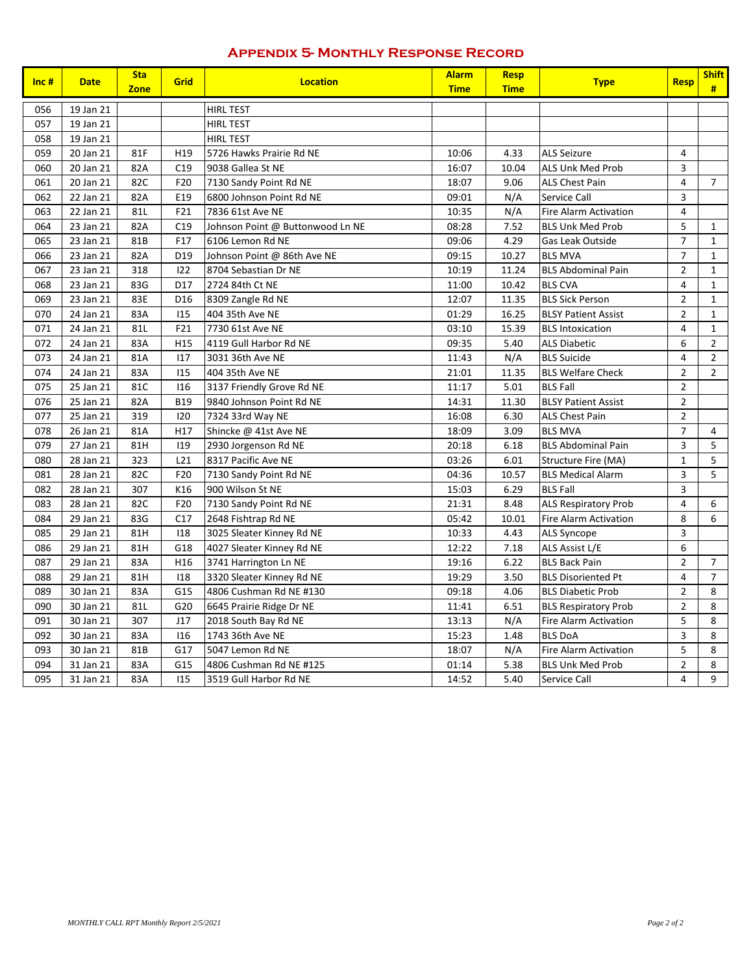#### **Appendix 5- Monthly Response Record**

| $Inc$ # | <b>Date</b> | <b>Sta</b><br><b>Zone</b> | <b>Grid</b>     | <b>Location</b>                  | <b>Alarm</b><br><b>Time</b> | <b>Resp</b><br><b>Time</b> | <b>Type</b>                  | <b>Resp</b>             | <b>Shift</b><br># |
|---------|-------------|---------------------------|-----------------|----------------------------------|-----------------------------|----------------------------|------------------------------|-------------------------|-------------------|
| 056     | 19 Jan 21   |                           |                 | <b>HIRL TEST</b>                 |                             |                            |                              |                         |                   |
| 057     | 19 Jan 21   |                           |                 | <b>HIRL TEST</b>                 |                             |                            |                              |                         |                   |
| 058     | 19 Jan 21   |                           |                 | <b>HIRL TEST</b>                 |                             |                            |                              |                         |                   |
| 059     | 20 Jan 21   | 81F                       | H <sub>19</sub> | 5726 Hawks Prairie Rd NE         | 10:06                       | 4.33                       | <b>ALS Seizure</b>           | $\overline{4}$          |                   |
| 060     | 20 Jan 21   | 82A                       | C19             | 9038 Gallea St NE                | 16:07                       | 10.04                      | <b>ALS Unk Med Prob</b>      | 3                       |                   |
| 061     | 20 Jan 21   | 82C                       | F20             | 7130 Sandy Point Rd NE           | 18:07                       | 9.06                       | <b>ALS Chest Pain</b>        | $\overline{4}$          | $\overline{7}$    |
| 062     | 22 Jan 21   | 82A                       | E19             | 6800 Johnson Point Rd NE         | 09:01                       | N/A                        | Service Call                 | 3                       |                   |
| 063     | 22 Jan 21   | 81L                       | F21             | 7836 61st Ave NE                 | 10:35                       | N/A                        | <b>Fire Alarm Activation</b> | $\overline{4}$          |                   |
| 064     | 23 Jan 21   | 82A                       | C19             | Johnson Point @ Buttonwood Ln NE | 08:28                       | 7.52                       | <b>BLS Unk Med Prob</b>      | 5                       | $\mathbf{1}$      |
| 065     | 23 Jan 21   | 81B                       | F17             | 6106 Lemon Rd NE                 | 09:06                       | 4.29                       | Gas Leak Outside             | $\overline{7}$          | $\mathbf{1}$      |
| 066     | 23 Jan 21   | 82A                       | D <sub>19</sub> | Johnson Point @ 86th Ave NE      | 09:15                       | 10.27                      | <b>BLS MVA</b>               | $\overline{7}$          | $\mathbf{1}$      |
| 067     | 23 Jan 21   | 318                       | 122             | 8704 Sebastian Dr NE             | 10:19                       | 11.24                      | <b>BLS Abdominal Pain</b>    | $\overline{2}$          | $\mathbf{1}$      |
| 068     | 23 Jan 21   | 83G                       | D17             | 2724 84th Ct NE                  | 11:00                       | 10.42                      | <b>BLS CVA</b>               | 4                       | $\mathbf{1}$      |
| 069     | 23 Jan 21   | 83E                       | D16             | 8309 Zangle Rd NE                | 12:07                       | 11.35                      | <b>BLS Sick Person</b>       | $\overline{2}$          | $\mathbf{1}$      |
| 070     | 24 Jan 21   | 83A                       | 115             | 404 35th Ave NE                  | 01:29                       | 16.25                      | <b>BLSY Patient Assist</b>   | $\overline{2}$          | $\mathbf{1}$      |
| 071     | 24 Jan 21   | 81L                       | F21             | 7730 61st Ave NE                 | 03:10                       | 15.39                      | <b>BLS</b> Intoxication      | 4                       | $\mathbf{1}$      |
| 072     | 24 Jan 21   | 83A                       | H <sub>15</sub> | 4119 Gull Harbor Rd NE           | 09:35                       | 5.40                       | <b>ALS Diabetic</b>          | 6                       | $\overline{2}$    |
| 073     | 24 Jan 21   | 81A                       | 117             | 3031 36th Ave NE                 | 11:43                       | N/A                        | <b>BLS Suicide</b>           | 4                       | $\overline{2}$    |
| 074     | 24 Jan 21   | 83A                       | 115             | 404 35th Ave NE                  | 21:01                       | 11.35                      | <b>BLS Welfare Check</b>     | $\overline{2}$          | $\overline{2}$    |
| 075     | 25 Jan 21   | 81C                       | 116             | 3137 Friendly Grove Rd NE        | 11:17                       | 5.01                       | <b>BLS Fall</b>              | $\overline{2}$          |                   |
| 076     | 25 Jan 21   | 82A                       | <b>B19</b>      | 9840 Johnson Point Rd NE         | 14:31                       | 11.30                      | <b>BLSY Patient Assist</b>   | $\overline{2}$          |                   |
| 077     | 25 Jan 21   | 319                       | 120             | 7324 33rd Way NE                 | 16:08                       | 6.30                       | <b>ALS Chest Pain</b>        | $\overline{2}$          |                   |
| 078     | 26 Jan 21   | 81A                       | H17             | Shincke @ 41st Ave NE            | 18:09                       | 3.09                       | <b>BLS MVA</b>               | $\overline{7}$          | 4                 |
| 079     | 27 Jan 21   | 81H                       | 119             | 2930 Jorgenson Rd NE             | 20:18                       | 6.18                       | <b>BLS Abdominal Pain</b>    | 3                       | 5                 |
| 080     | 28 Jan 21   | 323                       | L21             | 8317 Pacific Ave NE              | 03:26                       | 6.01                       | Structure Fire (MA)          | $\mathbf 1$             | 5                 |
| 081     | 28 Jan 21   | 82C                       | F20             | 7130 Sandy Point Rd NE           | 04:36                       | 10.57                      | <b>BLS Medical Alarm</b>     | 3                       | 5                 |
| 082     | 28 Jan 21   | 307                       | K16             | 900 Wilson St NE                 | 15:03                       | 6.29                       | <b>BLS Fall</b>              | 3                       |                   |
| 083     | 28 Jan 21   | 82C                       | F20             | 7130 Sandy Point Rd NE           | 21:31                       | 8.48                       | <b>ALS Respiratory Prob</b>  | $\pmb{4}$               | 6                 |
| 084     | 29 Jan 21   | 83G                       | C17             | 2648 Fishtrap Rd NE              | 05:42                       | 10.01                      | Fire Alarm Activation        | 8                       | 6                 |
| 085     | 29 Jan 21   | 81H                       | 118             | 3025 Sleater Kinney Rd NE        | 10:33                       | 4.43                       | <b>ALS Syncope</b>           | 3                       |                   |
| 086     | 29 Jan 21   | 81H                       | G18             | 4027 Sleater Kinney Rd NE        | 12:22                       | 7.18                       | ALS Assist L/E               | 6                       |                   |
| 087     | 29 Jan 21   | 83A                       | H <sub>16</sub> | 3741 Harrington Ln NE            | 19:16                       | 6.22                       | <b>BLS Back Pain</b>         | $\overline{2}$          | $\overline{7}$    |
| 088     | 29 Jan 21   | 81H                       | 118             | 3320 Sleater Kinney Rd NE        | 19:29                       | 3.50                       | <b>BLS Disoriented Pt</b>    | 4                       | $\overline{7}$    |
| 089     | 30 Jan 21   | 83A                       | G15             | 4806 Cushman Rd NE #130          | 09:18                       | 4.06                       | <b>BLS Diabetic Prob</b>     | $\mathbf 2$             | 8                 |
| 090     | 30 Jan 21   | 81L                       | G20             | 6645 Prairie Ridge Dr NE         | 11:41                       | 6.51                       | <b>BLS Respiratory Prob</b>  | $\overline{2}$          | 8                 |
| 091     | 30 Jan 21   | 307                       | J17             | 2018 South Bay Rd NE             | 13:13                       | N/A                        | <b>Fire Alarm Activation</b> | 5                       | 8                 |
| 092     | 30 Jan 21   | 83A                       | <b>I16</b>      | 1743 36th Ave NE                 | 15:23                       | 1.48                       | <b>BLS DoA</b>               | 3                       | 8                 |
| 093     | 30 Jan 21   | 81B                       | G17             | 5047 Lemon Rd NE                 | 18:07                       | N/A                        | <b>Fire Alarm Activation</b> | 5                       | 8                 |
| 094     | 31 Jan 21   | 83A                       | G15             | 4806 Cushman Rd NE #125          | 01:14                       | 5.38                       | <b>BLS Unk Med Prob</b>      | $\overline{2}$          | 8                 |
| 095     | 31 Jan 21   | 83A                       | 115             | 3519 Gull Harbor Rd NE           | 14:52                       | 5.40                       | Service Call                 | $\overline{\mathbf{4}}$ | 9                 |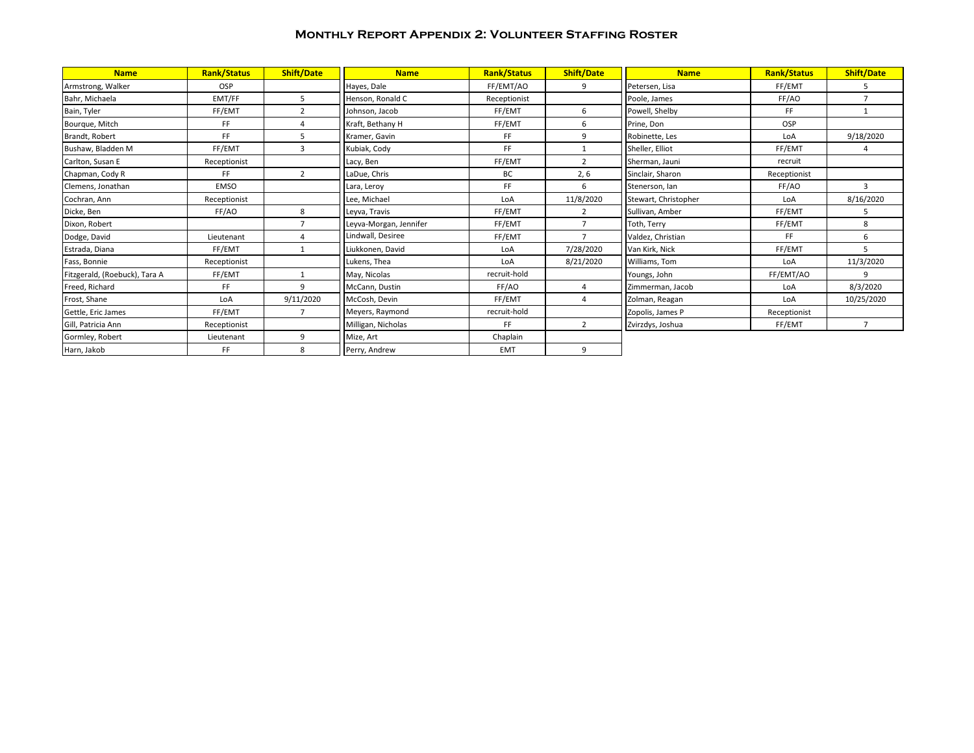#### **Monthly Report Appendix 2: Volunteer Staffing Roster**

| <b>Name</b>                   | <b>Rank/Status</b> | <b>Shift/Date</b> | <b>Name</b>            | <b>Rank/Status</b> | <b>Shift/Date</b> | <b>Name</b>          | <b>Rank/Status</b> | <b>Shift/Date</b> |
|-------------------------------|--------------------|-------------------|------------------------|--------------------|-------------------|----------------------|--------------------|-------------------|
| Armstrong, Walker             | <b>OSP</b>         |                   | Hayes, Dale            | FF/EMT/AO          | 9                 | Petersen, Lisa       | FF/EMT             | 5                 |
| Bahr, Michaela                | EMT/FF             | 5                 | Henson, Ronald C       | Receptionist       |                   | Poole, James         | FF/AO              | $\overline{7}$    |
| Bain, Tyler                   | FF/EMT             | $\mathcal{P}$     | Johnson, Jacob         | FF/EMT             | 6                 | Powell, Shelby       | FF                 |                   |
| Bourque, Mitch                | FF                 |                   | Kraft, Bethany H       | FF/EMT             | 6                 | Prine, Don           | OSP                |                   |
| Brandt, Robert                | FF.                | 5                 | Kramer, Gavin          | FF.                | 9                 | Robinette, Les       | LoA                | 9/18/2020         |
| Bushaw, Bladden M             | FF/EMT             | 3                 | Kubiak, Cody           | FF.                |                   | Sheller, Elliot      | FF/EMT             | 4                 |
| Carlton, Susan E              | Receptionist       |                   | Lacy, Ben              | FF/EMT             | $\overline{2}$    | Sherman, Jauni       | recruit            |                   |
| Chapman, Cody R               | FF.                | $\overline{2}$    | LaDue, Chris           | BC                 | 2, 6              | Sinclair, Sharon     | Receptionist       |                   |
| Clemens, Jonathan             | <b>EMSO</b>        |                   | Lara, Leroy            | FF.                | 6                 | Stenerson, Ian       | FF/AO              | 3                 |
| Cochran, Ann                  | Receptionist       |                   | Lee, Michael           | LoA                | 11/8/2020         | Stewart, Christopher | LoA                | 8/16/2020         |
| Dicke, Ben                    | FF/AO              | 8                 | Leyva, Travis          | FF/EMT             | 2                 | Sullivan, Amber      | FF/EMT             | 5                 |
| Dixon, Robert                 |                    |                   | Leyva-Morgan, Jennifer | FF/EMT             | $\overline{7}$    | Toth, Terry          | FF/EMT             | 8                 |
| Dodge, David                  | Lieutenant         |                   | Lindwall, Desiree      | FF/EMT             | $\overline{7}$    | Valdez, Christian    | FF.                | 6                 |
| Estrada, Diana                | FF/EMT             | $\mathbf{1}$      | Liukkonen, David       | LoA                | 7/28/2020         | Van Kirk, Nick       | FF/EMT             | 5.                |
| Fass, Bonnie                  | Receptionist       |                   | Lukens, Thea           | LoA                | 8/21/2020         | Williams, Tom        | LoA                | 11/3/2020         |
| Fitzgerald, (Roebuck), Tara A | FF/EMT             |                   | May, Nicolas           | recruit-hold       |                   | Youngs, John         | FF/EMT/AO          | 9                 |
| Freed, Richard                | FF.                | $\mathbf{q}$      | McCann, Dustin         | FF/AO              | 4                 | Zimmerman, Jacob     | LoA                | 8/3/2020          |
| Frost, Shane                  | LoA                | 9/11/2020         | McCosh, Devin          | FF/EMT             | 4                 | Zolman, Reagan       | LoA                | 10/25/2020        |
| Gettle, Eric James            | FF/EMT             | $\overline{ }$    | Meyers, Raymond        | recruit-hold       |                   | Zopolis, James P     | Receptionist       |                   |
| Gill, Patricia Ann            | Receptionist       |                   | Milligan, Nicholas     | FF.                | $\overline{2}$    | Zvirzdys, Joshua     | FF/EMT             | $\overline{7}$    |
| Gormley, Robert               | Lieutenant         | 9                 | Mize, Art              | Chaplain           |                   |                      |                    |                   |
| Harn, Jakob                   | FF                 | 8                 | Perry, Andrew          | EMT                | 9                 |                      |                    |                   |